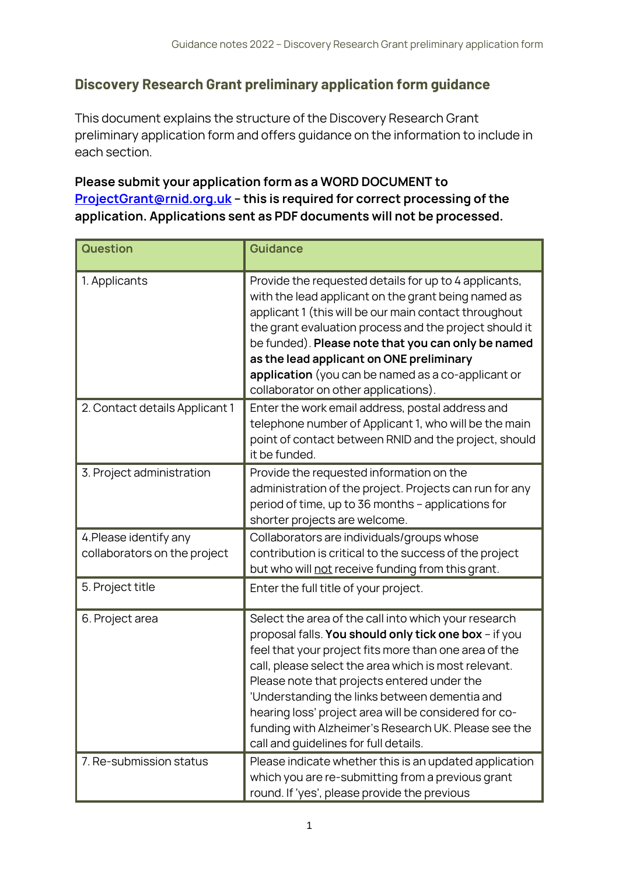## **Discovery Research Grant preliminary application form guidance**

This document explains the structure of the Discovery Research Grant preliminary application form and offers guidance on the information to include in each section.

## **Please submit your application form as a WORD DOCUMENT to [ProjectGrant@rnid.org.uk](mailto:ProjectGrant@rnid.org.uk) – this is required for correct processing of the application. Applications sent as PDF documents will not be processed.**

| <b>Question</b>                                        | <b>Guidance</b>                                                                                                                                                                                                                                                                                                                                                                                                                                                                          |
|--------------------------------------------------------|------------------------------------------------------------------------------------------------------------------------------------------------------------------------------------------------------------------------------------------------------------------------------------------------------------------------------------------------------------------------------------------------------------------------------------------------------------------------------------------|
| 1. Applicants                                          | Provide the requested details for up to 4 applicants,<br>with the lead applicant on the grant being named as<br>applicant 1 (this will be our main contact throughout<br>the grant evaluation process and the project should it<br>be funded). Please note that you can only be named<br>as the lead applicant on ONE preliminary<br>application (you can be named as a co-applicant or<br>collaborator on other applications).                                                          |
| 2. Contact details Applicant 1                         | Enter the work email address, postal address and<br>telephone number of Applicant 1, who will be the main<br>point of contact between RNID and the project, should<br>it be funded.                                                                                                                                                                                                                                                                                                      |
| 3. Project administration                              | Provide the requested information on the<br>administration of the project. Projects can run for any<br>period of time, up to 36 months - applications for<br>shorter projects are welcome.                                                                                                                                                                                                                                                                                               |
| 4. Please identify any<br>collaborators on the project | Collaborators are individuals/groups whose<br>contribution is critical to the success of the project<br>but who will not receive funding from this grant.                                                                                                                                                                                                                                                                                                                                |
| 5. Project title                                       | Enter the full title of your project.                                                                                                                                                                                                                                                                                                                                                                                                                                                    |
| 6. Project area                                        | Select the area of the call into which your research<br>proposal falls. You should only tick one box - if you<br>feel that your project fits more than one area of the<br>call, please select the area which is most relevant.<br>Please note that projects entered under the<br>'Understanding the links between dementia and<br>hearing loss' project area will be considered for co-<br>funding with Alzheimer's Research UK. Please see the<br>call and guidelines for full details. |
| 7. Re-submission status                                | Please indicate whether this is an updated application<br>which you are re-submitting from a previous grant<br>round. If 'yes', please provide the previous                                                                                                                                                                                                                                                                                                                              |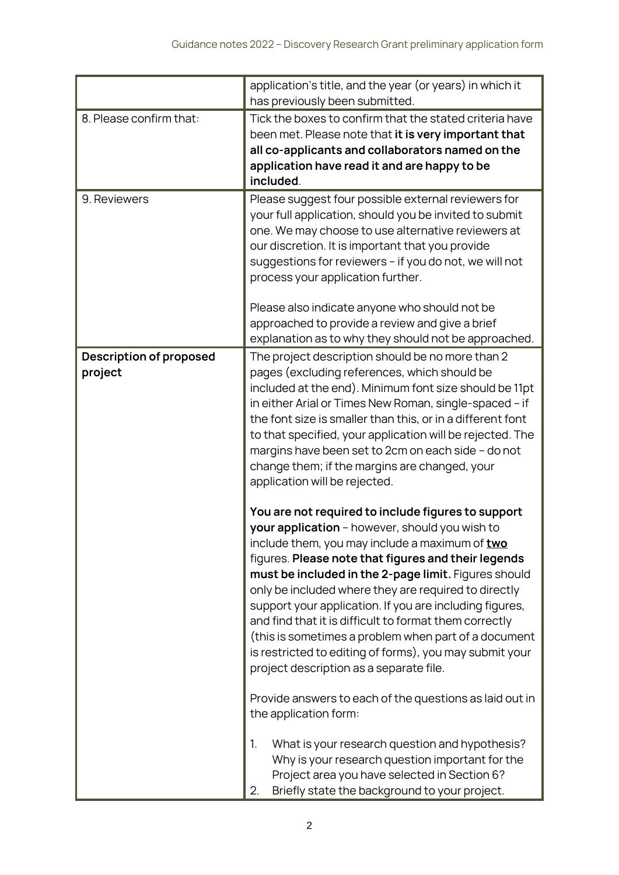|                                           | application's title, and the year (or years) in which it<br>has previously been submitted.                                                                                                                                                                                                                                                                                                                                                                                                                                                                                                                       |
|-------------------------------------------|------------------------------------------------------------------------------------------------------------------------------------------------------------------------------------------------------------------------------------------------------------------------------------------------------------------------------------------------------------------------------------------------------------------------------------------------------------------------------------------------------------------------------------------------------------------------------------------------------------------|
| 8. Please confirm that:                   | Tick the boxes to confirm that the stated criteria have<br>been met. Please note that it is very important that<br>all co-applicants and collaborators named on the<br>application have read it and are happy to be<br>included.                                                                                                                                                                                                                                                                                                                                                                                 |
| 9. Reviewers                              | Please suggest four possible external reviewers for<br>your full application, should you be invited to submit<br>one. We may choose to use alternative reviewers at<br>our discretion. It is important that you provide<br>suggestions for reviewers - if you do not, we will not<br>process your application further.<br>Please also indicate anyone who should not be<br>approached to provide a review and give a brief<br>explanation as to why they should not be approached.                                                                                                                               |
| <b>Description of proposed</b><br>project | The project description should be no more than 2<br>pages (excluding references, which should be<br>included at the end). Minimum font size should be 11pt<br>in either Arial or Times New Roman, single-spaced - if<br>the font size is smaller than this, or in a different font<br>to that specified, your application will be rejected. The<br>margins have been set to 2cm on each side - do not<br>change them; if the margins are changed, your<br>application will be rejected.                                                                                                                          |
|                                           | You are not required to include figures to support<br>your application - however, should you wish to<br>include them, you may include a maximum of two<br>figures. Please note that figures and their legends<br>must be included in the 2-page limit. Figures should<br>only be included where they are required to directly<br>support your application. If you are including figures,<br>and find that it is difficult to format them correctly<br>(this is sometimes a problem when part of a document<br>is restricted to editing of forms), you may submit your<br>project description as a separate file. |
|                                           | Provide answers to each of the questions as laid out in<br>the application form:                                                                                                                                                                                                                                                                                                                                                                                                                                                                                                                                 |
|                                           | 1.<br>What is your research question and hypothesis?<br>Why is your research question important for the<br>Project area you have selected in Section 6?<br>Briefly state the background to your project.<br>2.                                                                                                                                                                                                                                                                                                                                                                                                   |